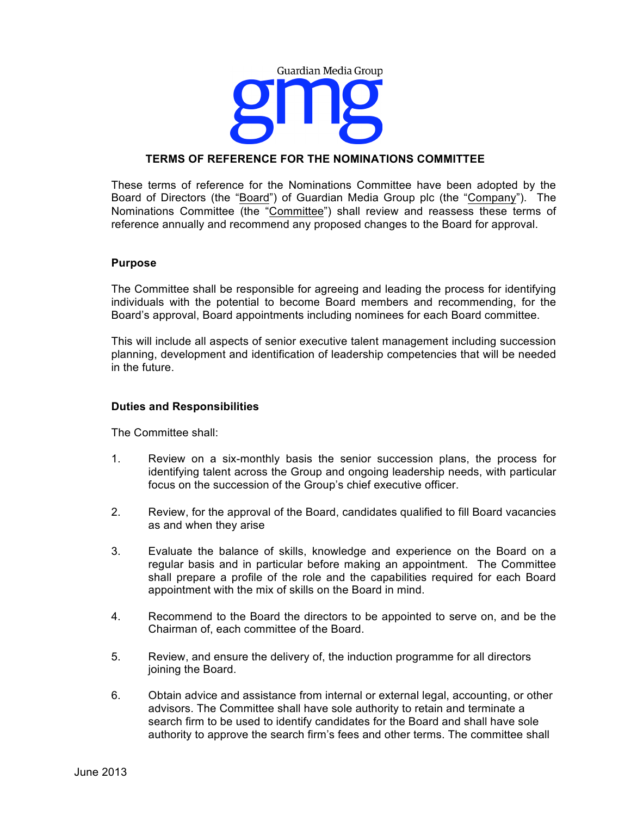

# **TERMS OF REFERENCE FOR THE NOMINATIONS COMMITTEE**

These terms of reference for the Nominations Committee have been adopted by the Board of Directors (the "Board") of Guardian Media Group plc (the "Company"). The Nominations Committee (the "Committee") shall review and reassess these terms of reference annually and recommend any proposed changes to the Board for approval.

### **Purpose**

The Committee shall be responsible for agreeing and leading the process for identifying individuals with the potential to become Board members and recommending, for the Board's approval, Board appointments including nominees for each Board committee.

This will include all aspects of senior executive talent management including succession planning, development and identification of leadership competencies that will be needed in the future.

### **Duties and Responsibilities**

The Committee shall:

- 1. Review on a six-monthly basis the senior succession plans, the process for identifying talent across the Group and ongoing leadership needs, with particular focus on the succession of the Group's chief executive officer.
- 2. Review, for the approval of the Board, candidates qualified to fill Board vacancies as and when they arise
- 3. Evaluate the balance of skills, knowledge and experience on the Board on a regular basis and in particular before making an appointment. The Committee shall prepare a profile of the role and the capabilities required for each Board appointment with the mix of skills on the Board in mind.
- 4. Recommend to the Board the directors to be appointed to serve on, and be the Chairman of, each committee of the Board.
- 5. Review, and ensure the delivery of, the induction programme for all directors joining the Board.
- 6. Obtain advice and assistance from internal or external legal, accounting, or other advisors. The Committee shall have sole authority to retain and terminate a search firm to be used to identify candidates for the Board and shall have sole authority to approve the search firm's fees and other terms. The committee shall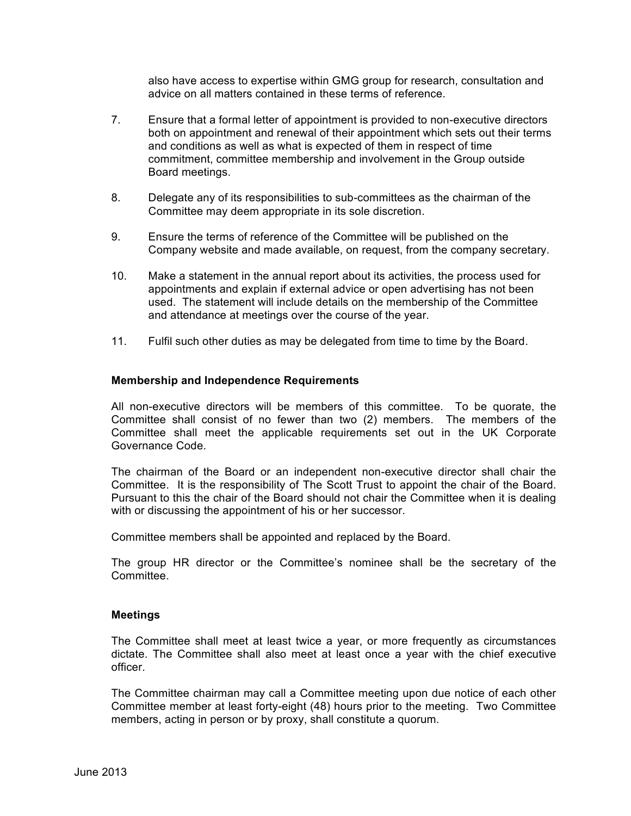also have access to expertise within GMG group for research, consultation and advice on all matters contained in these terms of reference.

- 7. Ensure that a formal letter of appointment is provided to non-executive directors both on appointment and renewal of their appointment which sets out their terms and conditions as well as what is expected of them in respect of time commitment, committee membership and involvement in the Group outside Board meetings.
- 8. Delegate any of its responsibilities to sub-committees as the chairman of the Committee may deem appropriate in its sole discretion.
- 9. Ensure the terms of reference of the Committee will be published on the Company website and made available, on request, from the company secretary.
- 10. Make a statement in the annual report about its activities, the process used for appointments and explain if external advice or open advertising has not been used. The statement will include details on the membership of the Committee and attendance at meetings over the course of the year.
- 11. Fulfil such other duties as may be delegated from time to time by the Board.

### **Membership and Independence Requirements**

All non-executive directors will be members of this committee. To be quorate, the Committee shall consist of no fewer than two (2) members. The members of the Committee shall meet the applicable requirements set out in the UK Corporate Governance Code.

The chairman of the Board or an independent non-executive director shall chair the Committee. It is the responsibility of The Scott Trust to appoint the chair of the Board. Pursuant to this the chair of the Board should not chair the Committee when it is dealing with or discussing the appointment of his or her successor.

Committee members shall be appointed and replaced by the Board.

The group HR director or the Committee's nominee shall be the secretary of the **Committee.** 

#### **Meetings**

The Committee shall meet at least twice a year, or more frequently as circumstances dictate. The Committee shall also meet at least once a year with the chief executive officer.

The Committee chairman may call a Committee meeting upon due notice of each other Committee member at least forty-eight (48) hours prior to the meeting. Two Committee members, acting in person or by proxy, shall constitute a quorum.